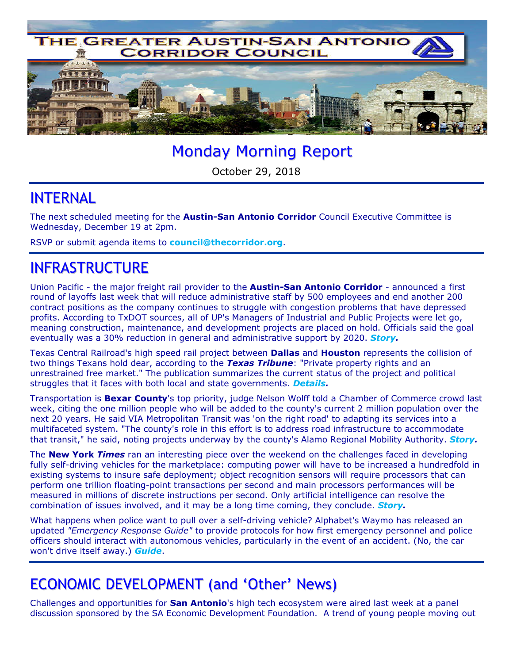

# Monday Morning Report

October 29, 2018

#### INTERNAL

The next scheduled meeting for the **Austin-San Antonio Corridor** Council Executive Committee is Wednesday, December 19 at 2pm.

RSVP or submit agenda items to **council@thecorridor.org**.

### INFRASTRUCTURE

Union Pacific - the major freight rail provider to the **Austin-San Antonio Corridor** - announced a first round of layoffs last week that will reduce administrative staff by 500 employees and end another 200 contract positions as the company continues to struggle with congestion problems that have depressed profits. According to TxDOT sources, all of UP's Managers of Industrial and Public Projects were let go, meaning construction, maintenance, and development projects are placed on hold. Officials said the goal eventually was a 30% reduction in general and administrative support by 2020. *Story.*

Texas Central Railroad's high speed rail project between **Dallas** and **Houston** represents the collision of two things Texans hold dear, according to the *Texas Tribune*: "Private property rights and an unrestrained free market." The publication summarizes the current status of the project and political struggles that it faces with both local and state governments. *Details.* 

Transportation is **Bexar County**'s top priority, judge Nelson Wolff told a Chamber of Commerce crowd last week, citing the one million people who will be added to the county's current 2 million population over the next 20 years. He said VIA Metropolitan Transit was 'on the right road' to adapting its services into a multifaceted system. "The county's role in this effort is to address road infrastructure to accommodate that transit," he said, noting projects underway by the county's Alamo Regional Mobility Authority. *Story.*

The **New York** *Times* ran an interesting piece over the weekend on the challenges faced in developing fully self-driving vehicles for the marketplace: computing power will have to be increased a hundredfold in existing systems to insure safe deployment; object recognition sensors will require processors that can perform one trillion floating-point transactions per second and main processors performances will be measured in millions of discrete instructions per second. Only artificial intelligence can resolve the combination of issues involved, and it may be a long time coming, they conclude. *Story.*

What happens when police want to pull over a self-driving vehicle? Alphabet's Waymo has released an updated *"Emergency Response Guide"* to provide protocols for how first emergency personnel and police officers should interact with autonomous vehicles, particularly in the event of an accident. (No, the car won't drive itself away.) *Guide*.

## ECONOMIC DEVELOPMENT (and 'Other' News)

Challenges and opportunities for **San Antonio**'s high tech ecosystem were aired last week at a panel discussion sponsored by the SA Economic Development Foundation. A trend of young people moving out